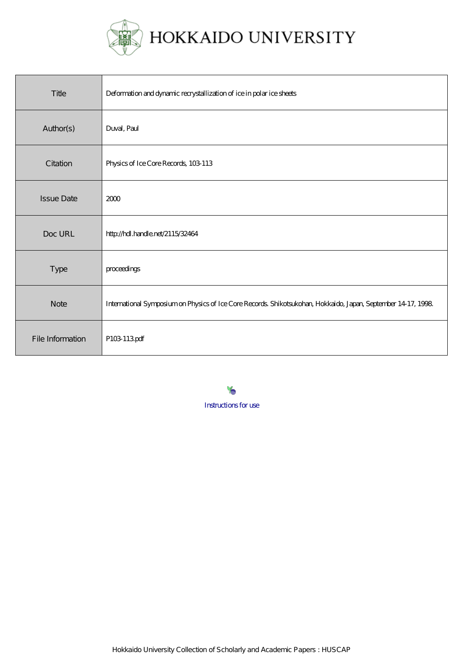

| Title             | Deformation and dynamic recrystallization of ice in polar ice sheets                                          |
|-------------------|---------------------------------------------------------------------------------------------------------------|
| Author(s)         | Duval, Paul                                                                                                   |
| Citation          | Physics of Ice Core Records, 103 113                                                                          |
| <b>Issue Date</b> | 2000                                                                                                          |
| Doc URL           | http://hdl.handle.net/2115/32464                                                                              |
| Type              | proceedings                                                                                                   |
| <b>Note</b>       | International Symposium on Physics of Ice Core Records Shikotsukohan, Hokkaido, Japan, September 14 17, 1998. |
| File Information  | P103 113pdf                                                                                                   |

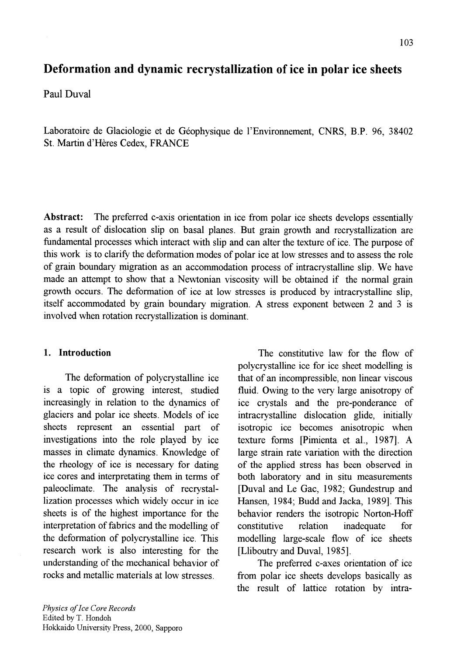# **Deformation and dynamic recrystallization of ice in polar ice sheets**

Paul Duval

Laboratoire de Glaciologie et de Geophysique de l'Environnement, CNRS, B.P. 96, 38402 St. Martin d'Heres Cedex, FRANCE

**Abstract:** The preferred c-axis orientation in ice from polar ice sheets develops essentially as a result of dislocation slip on basal planes. But grain growth and recrystallization are fundamental processes which interact with slip and can alter the texture of ice. The purpose of this work is to clarify the deformation modes of polar ice at low stresses and to assess the role of grain boundary migration as an accommodation process of intracrystalline slip. We have made an attempt to show that a Newtonian viscosity will be obtained if the normal grain growth occurs. The deformation of ice at low stresses is produced by intracrystalline slip, itself accommodated by grain boundary migration. A stress exponent between 2 and 3 is involved when rotation recrystallization is dominant.

### **1. Introduction**

The deformation of polycrystalline ice is a topic of growing interest, studied increasingly in relation to the dynamics of glaciers and polar ice sheets. Models of ice sheets represent an essential part of investigations into the role played by ice masses in climate dynamics. Knowledge of the rheology of ice is necessary for dating ice cores and interpretating them in terms of paleoclimate. The analysis of recrystallization processes which widely occur in ice sheets is of the highest importance for the interpretation of fabrics and the modelling of the deformation of polycrystalline ice. This research work is also interesting for the understanding of the mechanical behavior of rocks and metallic materials at low stresses.

The constitutive law for the flow of polycrystalline ice for ice sheet modelling is that of an incompressible, non linear viscous fluid. Owing to the very large anisotropy of ice crystals and the pre-ponderance of intracrystalline dislocation glide, initially isotropic ice becomes anisotropic when texture forms [Pimienta et aI., 1987]. A large strain rate variation with the direction of the applied stress has been observed in both laboratory and in situ measurements [Duval and Le Gac, 1982; Gundestrup and Hansen, 1984; Budd and Jacka, 1989]. This behavior renders the isotropic Norton-Hoff constitutive relation inadequate for modelling large-scale flow of ice sheets [Lliboutry and Duval, 1985].

The preferred c-axes orientation of ice from polar ice sheets develops basically as the result of lattice rotation by intra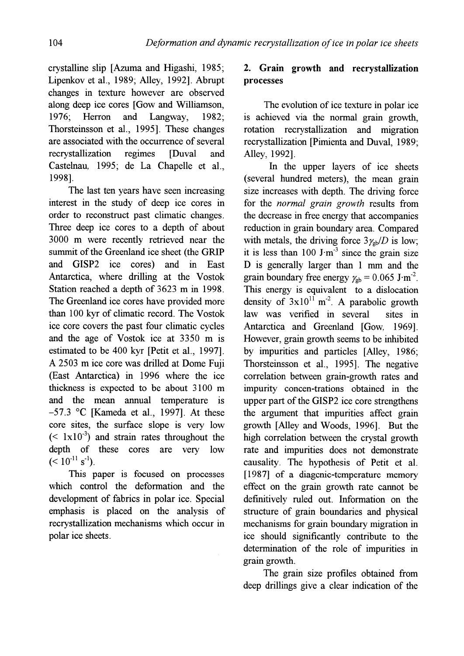crystalline slip [Azuma and Higashi, 1985; Lipenkov et aI., 1989; Alley, 1992]. Abrupt changes in texture however are observed along deep ice cores [Gow and Williamson, 1976; Herron and Langway, 1982; Thorsteinsson et aI., 1995]. These changes are associated with the occurrence of several recrystallization regimes [Duval and Castelnau, 1995; de La Chapelle et aI., 1998].

The last ten years have seen increasing interest in the study of deep ice cores in order to reconstruct past climatic changes. Three deep ice cores to a depth of about 3000 m were recently retrieved near the summit of the Greenland ice sheet (the GRIP and GISP2 ice cores) and in East Antarctica, where drilling at the Vostok Station reached a depth of 3623 m in 1998. The Greenland ice cores have provided more than 100 kyr of climatic record. The Vostok ice core covers the past four climatic cycles and the age of Vostok ice at 3350 m is estimated to be 400 kyr [Petit et aI., 1997]. A 2503 m ice core was drilled at Dome Fuji (East Antarctica) in 1996 where the ice thickness is expected to be about 3100 m and the mean annual temperature is  $-57.3$  °C [Kameda et al., 1997]. At these core sites, the surface slope is very low  $(1 \times 10^{-3})$  and strain rates throughout the depth of these cores are very low  $(< 10^{-11} \text{ s}^{-1}).$ 

This paper is focused on processes which control the deformation and the development of fabrics in polar ice. Special emphasis is placed on the analysis of recrystallization mechanisms which occur in polar ice sheets.

# 2. Grain growth and recrystallization processes

The evolution of ice texture in polar ice is achieved via the normal grain growth, rotation recrystallization and migration recrystallization [Pimienta and Duval, 1989; Alley, 1992].

In the upper layers of ice sheets (several hundred meters), the mean grain size increases with depth. The driving force for the *normal grain growth* results from the decrease in free energy that accompanies reduction in grain boundary area. Compared with metals, the driving force  $3\gamma_{\rm ch}/D$  is low; it is less than  $100 \text{ J} \cdot \text{m}^3$  since the grain size  $D$  is generally larger than 1 mm and the grain boundary free energy  $\gamma_{gb} = 0.065$  J·m<sup>-2</sup>. This energy is equivalent to a dislocation density of  $3x10^{11}$  m<sup>-2</sup>. A parabolic growth law was verified in several sites in Antarctica and Greenland [Gow, 1969]. However, grain growth seems to be inhibited by impurities and particles [Alley, 1986; Thorsteinsson et aI., 1995]. The negative correlation between grain-growth rates and impurity concen-trations obtained in the upper part of the GISP2 ice core strengthens the argument that impurities affect grain growth [Alley and Woods, 1996]. But the high correlation between the crystal growth rate and impurities does not demonstrate causality. The hypothesis of Petit et aI. [1987] of a diagenic-temperature memory effect on the grain growth rate cannot be definitively ruled out. Information on the structure of grain boundaries and physical mechanisms for grain boundary migration in ice should significantly contribute to the determination of the role of impurities in grain growth.

The grain size profiles obtained from deep drillings give a clear indication of the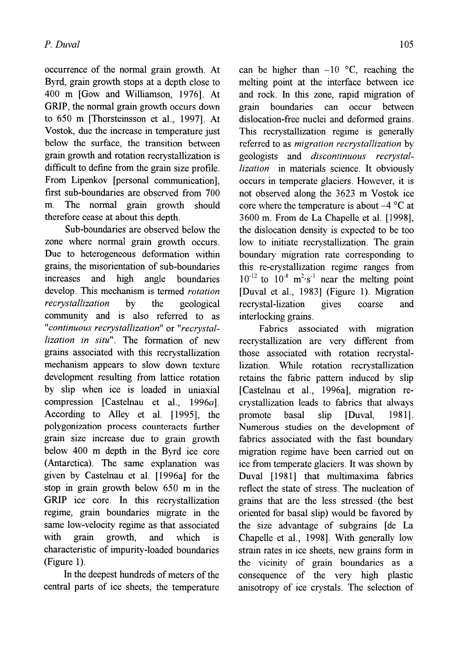occurrence of the normal grain growth. At Byrd, grain growth stops at a depth close to 400 m [Gow and Williamson, 1976]. At **GRIP,** the normal grain growth occurs down to 650 m [Thorsteinsson et aI., 1997]. At Vostok, due the increase in temperature just below the surface, the transition between grain growth and rotation recrystallization is difficult to define from the grain size profile. From Lipenkov [personal communication], first sub-boundaries are observed from 700 m. The normal grain growth should therefore cease at about this depth.

Sub-boundaries are observed below the zone where normal grain growth occurs. Due to heterogeneous deformation within grains, the misorientation of sub-boundaries increases and high angle boundaries develop. This mechanism is termed *rotation recrystallization* by the geological community and is also referred to as *"continuous recrystallization"* or *"recrystallization in situ".* The formation of new grains associated with this recrystallization mechanism appears to slow down texture development resulting from lattice rotation by slip when ice is loaded in uniaxial compression [Castelnau et al., 1996a]. According to Alley et ai. [1995], the polygonization process counteracts further grain size increase due to grain growth below 400 m depth in the Byrd ice core (Antarctica). The same explanation was given by Castelnau et al. [1996a] for the stop in grain growth below 650 m in the **GRIP** ice core. In this recrystallization regime, grain boundaries migrate in the same low-velocity regime as that associated with grain growth, and which is characteristic of impurity-loaded boundaries (Figure 1).

**In** the deepest hundreds of meters of the central parts of ice sheets, the temperature

can be higher than  $-10$  °C, reaching the melting point at the interface between ice and rock. In this zone, rapid migration of grain boundaries can occur between dislocation-free nuclei and deformed grains. This recrystallization regime is generally referred to as *migration recrystallization* by geologists and *discontinuous recrystallization* in materials science. It obviously occurs in temperate glaciers. However, it is not observed along the 3623 m Vostok ice core where the temperature is about  $-4$  °C at 3600 m. From de La Chapelle et ai. [1998], the dislocation density is expected to be too low to initiate recrystallization. The grain boundary migration rate corresponding to this re-crystallization regime ranges from  $10^{-12}$  to  $10^{-8}$  m<sup>2</sup> $\cdot$ s<sup>-1</sup> near the melting point [Duval et ai., 1983] (Figure 1). Migration recrystal-lization gives coarse and interlocking grains.

Fabrics associated with migration recrystallization are very different from those associated with rotation recrystallization. While rotation recrystallization retains the fabric pattern induced by slip [Castelnau et ai., 1996a], migration recrystallization leads to fabrics that always promote basal slip [Duval, 1981]. Numerous studies on the development of fabrics associated with the fast boundary migration regime have been carried out on ice from temperate glaciers. It was shown by Duval [1981] that multimaxima fabrics reflect the state of stress. The nucleation of grains that are the less stressed (the best oriented for basal slip) would be favored by the size advantage of subgrains [de La Chapelle et ai., 1998]. With generally low strain rates in ice sheets, new grains form in the vicinity of grain boundaries as a consequence of the very high plastic anisotropy of ice crystals. The selection of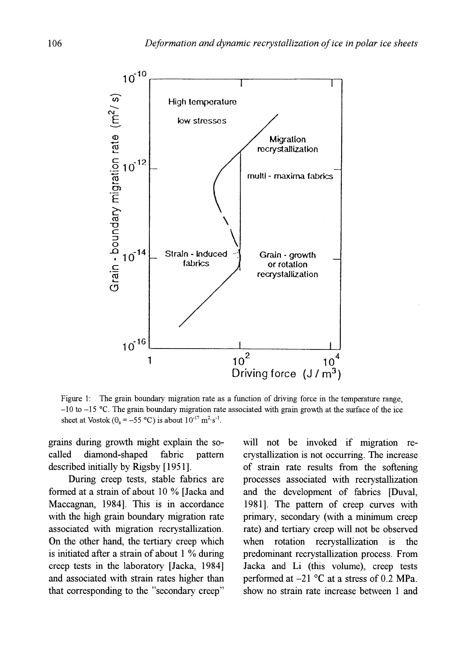

Figure 1: The grain boundary migration rate as a function of driving force in the temperature range,  $-10$  to  $-15$  °C. The grain boundary migration rate associated with grain growth at the surface of the ice sheet at Vostok ( $\theta_s = -55$  °C) is about  $10^{-17}$  m<sup>2</sup>·s<sup>-1</sup>.

grains during growth might explain the socalled diamond-shaped fabric pattern described initially by Rigsby [1951].

During creep tests, stable fabrics are formed at a strain of about 10 % [Jacka and Maccagnan, 1984]. This is in accordance with the high grain boundary migration rate associated with migration recrystallization. On the other hand, the tertiary creep which is initiated after a strain of about 1 % during creep tests in the laboratory [Jacka, 1984] and associated with strain rates higher than that corresponding to the "secondary creep" will not be invoked if migration recrystallization is not occurring. The increase of strain rate results from the softening processes associated with recrystallization and the development of fabrics [Duval, 1981]. The pattern of creep curves with primary, secondary (with a minimum creep rate) and tertiary creep will not be observed when rotation recrystallization is the predominant recrystallization process. From Jacka and Li (this volume), creep tests performed at  $-21$  °C at a stress of 0.2 MPa. show no strain rate increase between 1 and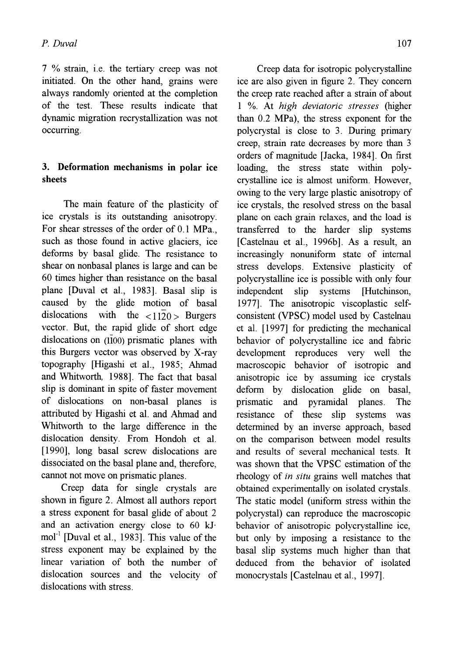7 % strain, i.e. the tertiary creep was not initiated. On the other hand, grains were always randomly oriented at the completion of the test. These results indicate that dynamic migration recrystallization was not occurring.

# 3. Deformation mechanisms **in** polar ice sheets

The main feature of the plasticity of ice crystals is its outstanding anisotropy. For shear stresses of the order of 0.1 MPa., such as those found in active glaciers, ice deforms by basal glide. The resistance to shear on nonbasal planes is large and can be 60 times higher than resistance on the basal plane [Duval et aI., 1983]. Basal slip is caused by the glide motion of basal dislocations with the  $\langle 1120 \rangle$  Burgers vector. But, the rapid glide of short edge dislocations on (1100) prismatic planes with this Burgers vector was observed by X-ray topography [Higashi et aI., 1985; Ahmad and Whitworth, 1988]. The fact that basal slip is dominant in spite of faster movement of dislocations on non-basal planes is attributed by Higashi et aI. and Ahmad and Whitworth to the large difference in the dislocation density. From Hondoh et aI. [1990], long basal screw dislocations are dissociated on the basal plane and, therefore, cannot not move on prismatic planes.

Creep data for single crystals are shown in figure 2. Almost all authors report a stress exponent for basal glide of about 2 and an activation energy close to 60 kJ $mol<sup>-1</sup>$  [Duval et al., 1983]. This value of the stress exponent may be explained by the linear variation of both the number of dislocation sources and the velocity of dislocations with stress.

Creep data for isotropic polycrystalline ice are also given in figure 2. They concern the creep rate reached after a strain of about 1 %. At *high deviatoric stresses* (higher than 0.2 MPa), the stress exponent for the polycrystal is close to 3. During primary creep, strain rate decreases by more than 3 orders of magnitude [Jacka, 1984]. On first loading, the stress state within polycrystalline ice is almost uniform. However, owing to the very large plastic anisotropy of ice crystals, the resolved stress on the basal plane on each grain relaxes, and the load is transferred to the harder slip systems [Castelnau et aI., 1996b]. As a result, an increasingly nonuniform state of internal stress develops. Extensive plasticity of polycrystalline ice is possible with only four independent slip systems [Hutchinson, 1977]. The anisotropic viscoplastic selfconsistent (VPSC) model used by Castelnau et aI. [1997] for predicting the mechanical behavior of polycrystalline ice and fabric development reproduces very well the macroscopic behavior of isotropic and anisotropic ice by assuming ice crystals deform by dislocation glide on basal, prismatic and pyramidal planes. The resistance of these slip systems was determined by an inverse approach, based on the comparison between model results and results of several mechanical tests. It was shown that the VPSC estimation of the rheology of in *situ* grains well matches that obtained experimentally on isolated crystals. The static model (uniform stress within the polycrystal) can reproduce the macroscopic behavior of anisotropic polycrystalline ice, but only by imposing a resistance to the basal slip systems much higher than that deduced from the behavior of isolated monocrystals [Castelnau et aI., 1997].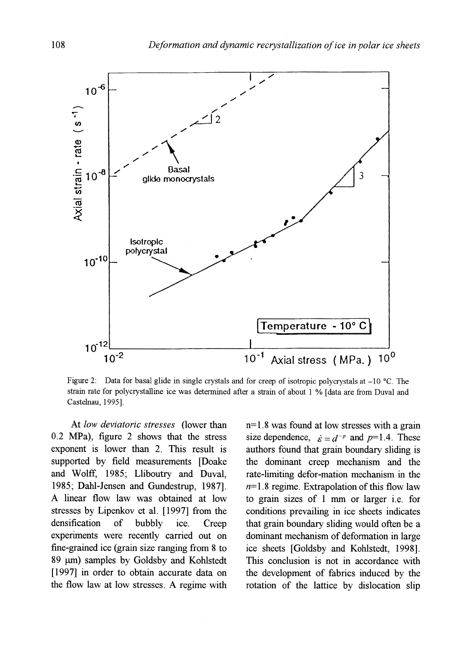

Figure 2: Data for basal glide in single crystals and for creep of isotropic polycrystals at  $-10$  °C. The strain rate for polycrystalline ice was determined after a strain of about I % [data are from Duval and Castelnau, 1995].

At *low deviatoric stresses* (lower than 0.2 MPa), figure 2 shows that the stress exponent is lower than 2. This result is supported by field measurements [Doake and Wolff, 1985; Lliboutry and Duval, 1985; Dahl-Jensen and Gundestrup, 1987]. A linear flow law was obtained at low stresses by Lipenkov et al. [1997] from the densification of bubbly ice. Creep experiments were recently carried out on fine-grained ice (grain size ranging from 8 to 89  $\mu$ m) samples by Goldsby and Kohlstedt [1997] in order to obtain accurate data on the flow law at low stresses. A regime with n= 1.8 was found at low stresses with a grain size dependence,  $\dot{\varepsilon} = d^{-p}$  and  $p=1.4$ . These authors found that grain boundary sliding is the dominant creep mechanism and the rate-limiting defor-mation mechanism in the *n=1.8* regime. Extrapolation of this flow law to grain sizes of 1 mm or larger i.e. for conditions prevailing in ice sheets indicates that grain boundary sliding would often be a dominant mechanism of deformation in large ice sheets [Goldsby and Kohlstedt, 1998]. This conclusion is not in accordance with the development of fabrics induced by the rotation of the lattice by dislocation slip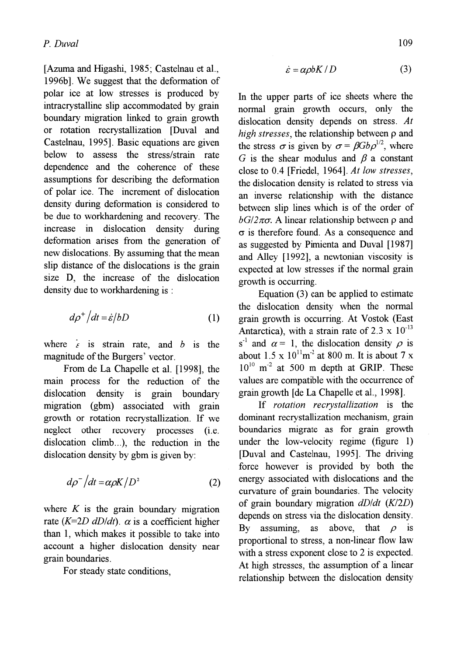[Azuma and Higashi, 1985; Castelnau et aI., 1996bl. We suggest that the deformation of polar ice at low stresses is produced by intracrystalline slip accommodated by grain boundary migration linked to grain growth or rotation recrystallization [Duval and Castelnau, 1995]. Basic equations are given below to assess the stress/strain rate dependence and the coherence of these assumptions for describing the defonnation of polar ice. The increment of dislocation density during defonnation is considered to be due to workhardening and recovery. The increase in dislocation density during deformation arises from the generation of new dislocations. By assuming that the mean slip distance of the dislocations is the grain size D, the increase of the dislocation density due to workhardening is :

$$
d\rho^+ \left| dt = \dot{\varepsilon} / bD \right| \tag{1}
$$

where  $\epsilon$  is strain rate, and *b* is the magnitude of the Burgers' vector.

From de La Chapelle et aI. [1998], the main process for the reduction of the dislocation density is grain boundary migration (gbm) associated with grain growth or rotation recrystallization. If we neglect other recovery processes (i.e. dislocation climb...), the reduction in the dislocation density by gbm is given by:

$$
d\rho^{-}/dt = \alpha \rho K / D^{2}
$$
 (2)

where  $K$  is the grain boundary migration rate  $(K=2D \ dD/dt)$ .  $\alpha$  is a coefficient higher than 1, which makes it possible to take into account a higher dislocation density near grain boundaries.

For steady state conditions,

$$
\dot{\varepsilon} = \alpha \rho b K / D \tag{3}
$$

In the upper parts of ice sheets where the normal grain growth occurs, only the dislocation density depends on stress. *At high stresses,* the relationship between p and the stress  $\sigma$  is given by  $\sigma = \beta G b \rho^{1/2}$ , where G is the shear modulus and  $\beta$  a constant close to 0.4 [Friedel, 1964]. *At low stresses,*  the dislocation density is related to stress via an inverse relationship with the distance between slip lines which is of the order of  $bG/2\pi\sigma$ . A linear relationship between  $\rho$  and  $\sigma$  is therefore found. As a consequence and as suggested by Pimienta and Duval [1987] and Alley [1992], a newtonian viscosity is expected at low stresses if the normal grain growth is occurring.

Equation (3) can be applied to estimate the dislocation density when the normal grain growth is occurring. At Vostok (East Antarctica), with a strain rate of  $2.3 \times 10^{-13}$  $s^{-1}$  and  $\alpha = 1$ , the dislocation density  $\rho$  is about  $1.5 \times 10^{11}$ m<sup>-2</sup> at 800 m. It is about 7 x  $10^{10}$  m<sup>-2</sup> at 500 m depth at GRIP. These values are compatible with the occurrence of grain growth [de La Chapelle et aI., 1998].

If *rotation recrystallization* is the dominant recrystallization mechanism, grain boundaries migrate as for grain growth under the low-velocity regime (figure 1) [Duval and Castelnau, 1995]. The driving force however is provided by both the energy associated with dislocations and the curvature of grain boundaries. The velocity of grain boundary migration *dD/dt (K12D)*  depends on stress via the dislocation density. By assuming, as above, that  $\rho$  is proportional to stress, a non-linear flow law with a stress exponent close to 2 is expected. At high stresses, the assumption of a linear relationship between the dislocation density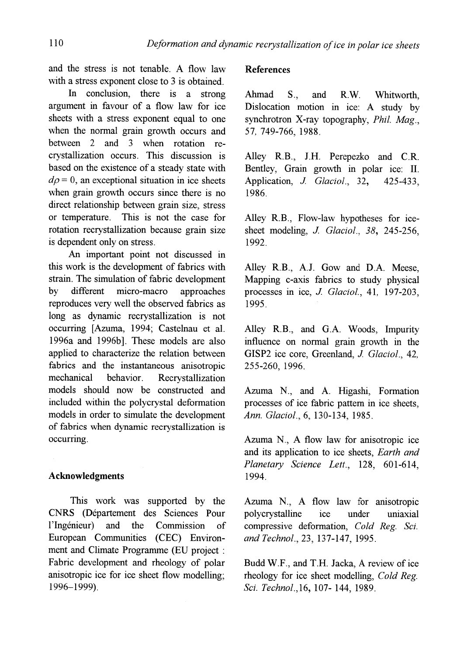and the stress is not tenable. A flow law with a stress exponent close to 3 is obtained.

In conclusion, there is a strong argument in favour of a flow law for ice sheets with a stress exponent equal to one when the normal grain growth occurs and between 2 and 3 when rotation recrystallization occurs. This discussion is based on the existence of a steady state with  $d\rho = 0$ , an exceptional situation in ice sheets when grain growth occurs since there is no direct relationship between grain size, stress or temperature. This is not the case for rotation recrystallization because grain size is dependent only on stress.

An important point not discussed in this work is the development of fabrics with strain. The simulation of fabric development by different micro-macro approaches reproduces very well the observed fabrics as long as dynamic recrystallization is not occurring [Azuma, 1994; Castelnau et al. 1996a and 1996b]. These models are also applied to characterize the relation between fabrics and the instantaneous anisotropic mechanical behavior. Recrystallization models should now be constructed and included within the polycrystal deformation models in order to simulate the development of fabrics when dynamic recrystallization is occurring.

## Acknowledgments

This work was supported by the CNRS (Departement des Sciences Pour l'Ingenieur) and the Commission of European Communities (CEC) Environment and Climate Programme (ED project : Fabric development and rheology of polar anisotropic ice for ice sheet flow modelling; 1996-1999).

## References

Ahmad S., and RW. Whitworth, Dislocation motion in ice: A study by synchrotron X-ray topography, *Phil. Mag.,*  57, 749-766, 1988.

Alley RB., J.H. Perepezko and C.R Bentley, Grain growth in polar ice: II. Application, *J. Glaciol.*, 32, 425-433, 1986.

Alley R.B., Flow-law hypotheses for icesheet modeling, *J. Glaciol.*, 38, 245-256. 1992.

Alley R.B., A.J. Gow and D.A. Meese, Mapping c-axis fabrics to study physical processes in ice, *J. GlaCial.,* 41, 197-203, 1995.

Alley R.B., and G.A. Woods, Impurity influence on normal grain growth in the GISP2 ice core, Greenland, *J. Glaciol.*, 42, 255-260, 1996.

Azuma N., and A. Higashi, Formation processes of ice fabric pattern in ice sheets, *Ann. GlaCial.,* 6, 130-134, 1985.

Azuma N., A flow law for anisotropic ice and its application to ice sheets, *Earth and Planetary Science Lett.,* 128, 601-614, 1994.

Azuma N., A flow law for anisotropic po1ycrystalline ice under uniaxial compressive deformation, *Cold Reg. Sci. and Technol.,* 23, 137-147, 1995.

Budd W.F., and T.H. Jacka, A review of ice rheology for ice sheet modelling, *Cold Reg. Sci. Technol.,16,* 107- 144, 1989.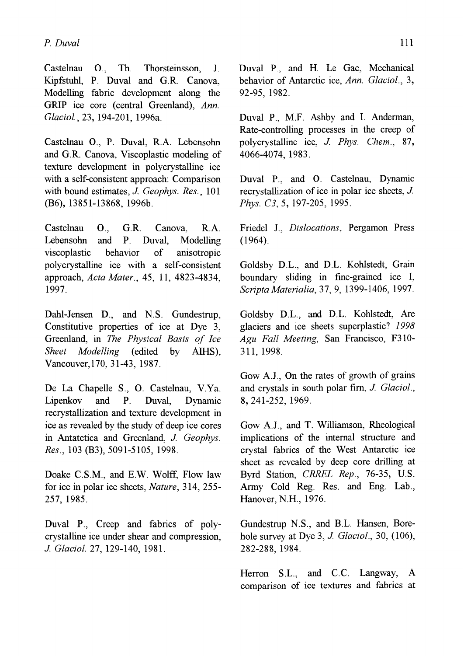Castelnau 0., Th. Thorsteinsson, I. Kipfstuhl, P. Duval and G.R Canova, Modelling fabric development along the GRIP ice core (central Greenland), *Ann. GlaCial.,* 23, 194-201, 1996a.

Castelnau 0., P. Duval, RA. Lebensohn and G.R Canova, Viscoplastic modeling of texture development in polycrystalline ice with a self-consistent approach: Comparison with bound estimates, *J. Geophys. Res.,* 101 (B6), 13851-13868, 1996b.

Castelnau 0., G.R Canova, RA. Lebensohn and P. Duval, Modelling viscoplastic behavior of anisotropic polycrystalline ice with a self-consistent approach, *Acta Mater.,* 45, 11, 4823-4834, 1997.

Dahl-Jensen D., and N.S. Gundestrup, Constitutive properties of ice at Dye 3, Greenland, in *The PhYSical Basis of Ice Sheet Modelling* (edited by AIHS), Vancouver,170, 31-43,1987.

De La Chapelle S., O. Castelnau, v.Ya. Lipenkov and P. Duval, Dynamic recrystallization and texture development in ice as revealed by the study of deep ice cores in Antatctica and Greenland, *J. Geophys. Res.,* 103 (B3), 5091-5105,1998.

Doake C.S.M., and E.W. Wolff, Flow law for ice in polar ice sheets, *Nature,* 314, 255- 257, 1985.

Duval P., Creep and fabrics of polycrystalline ice under shear and compression, *J. Glacial.* 27, 129-140, 1981.

Duval P., and H. Le Gac, Mechanical behavior of Antarctic ice, Ann. Glaciol., 3, 92-95, 1982.

Duval P., M.F. Ashby and I. Anderman, Rate-controlling processes in the creep of polycrystalline ice, *J. Phys. Chern., 87,*  4066-4074, 1983.

Duval P., and O. Castelnau, Dynamic recrystallization of ice in polar ice sheets, *J. Phys. C3,* 5, 197-205, 1995.

Friedel I., *Dislocations,* Pergamon Press (1964).

Goldsby D.L., and D.L. Kohlstedt, Grain boundary sliding in fine-grained ice I, *Scripta Materialia,* 37, 9,1399-1406,1997.

Goldsby D.L., and D.L. Kohlstedt, Are glaciers and ice sheets superplastic? 1998 *Agu Fall Meeting,* San Francisco, F310- 311, 1998.

Gow A.J., On the rates of growth of grains and crystals in south polar firn, *J. Glaciol.*, 8,241-252, 1969.

Gow *A.I.,* and T. Williamson, Rheological implications of the internal structure and crystal fabrics of the West Antarctic ice sheet as revealed by deep core drilling at Byrd Station, *CRREL Rep.,* 76-35, U.S. Army Cold Reg. Res. and Eng. Lab., Hanover, N.H., 1976.

Gundestrup N.S., and B.L. Hansen, Borehole survey at Dye 3, *J. Glaciol.*, 30, (106), 282-288, 1984.

Herron S.L., and C.C. Langway, A comparison of ice textures and fabrics at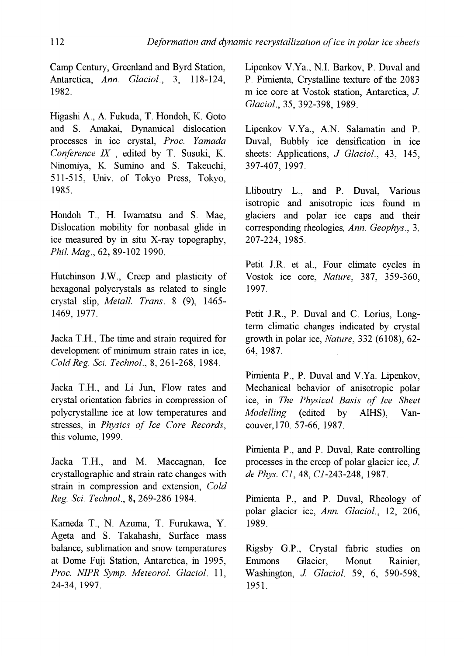Camp Century, Greenland and Byrd Station, Antarctica, *Ann. Glaciol.,* 3, 118-124, 1982.

Higashi A., A. Fukuda, T. Hondoh, K. Goto and S. Amakai, Dynamical dislocation processes in ice crystal, *Proc. Yamada Conference IX*, edited by T. Susuki, K. Ninomiya, K. Sumino and S. Takeuchi, 511-515, Univ. of Tokyo Press, Tokyo, 1985.

Hondoh T, H. Iwamatsu and S. Mae, Dislocation mobility for nonbasal glide in ice measured by in situ X-ray topography, *Phil. Mag.,* 62, 89-102 1990.

Hutchinson J.W., Creep and plasticity of hexagonal polycrystals as related to single crystal slip, *Metal!. Trans.* 8 (9), 1465- 1469, 1977.

Jacka TH., The time and strain required for development of minimum strain rates in ice, *Cold Reg. Sci. Technol.,* 8,261-268, 1984.

Jacka TH., and Li Jun, Flow rates and crystal orientation fabrics in compression of polycrystalline ice at low temperatures and stresses, in *Physics of Ice Core Records,*  this volume, 1999.

Jacka TH., and M. Maccagnan, Ice crystallographic and strain rate changes with strain in compression and extension, *Cold Reg. Sci. Technol.,* 8,269-286 1984.

Kameda T., N. Azuma, T. Furukawa, Y. Ageta and S. Takahashi, Surface mass balance, sublimation and snow temperatures at Dome Fuji Station, Antarctica, in 1995, *Proc. NIPR Symp. Meteorol. Glaciol. 11,*  24-34, 1997.

Lipenkov VYa., N.!. Barkov, P. Duval and P. Pimienta, Crystalline texture of the 2083 m ice core at Vostok station, Antarctica, J *Glaciol.,* 35, 392-398, 1989.

Lipenkov V.Ya., A.N. Salamatin and P. Duval, Bubbly ice densification in ice sheets: Applications, *J Glaciol.,* 43, 145, 397-407, 1997.

Lliboutry L., and P. Duval, Various isotropic and anisotropic ices found in glaciers and polar ice caps and their corresponding rheologies, *Ann. Geophys., 3,*  207-224, 1985.

Petit J.R. et al., Four climate cycles in Vostok Ice core, *Nature,* 387, 359-360, 1997.

Petit J.R., P. Duval and C. Lorius, Longterm climatic changes indicated by crystal growth in polar ice, *Nature,* 332 (6108), 62- 64, 1987.

Pimienta P., P. Duval and V.Ya. Lipenkov, Mechanical behavior of anisotropic polar ice, in *The PhYSical Basis of Ice Sheet Modelling* (edited by AIHS), Vancouver,170, 57-66, 1987.

Pimienta P., and P. Duval, Rate controlling processes in the creep of polar glacier ice,  $J$ . *de Phys. Cl,* 48, *Cl-243-248, 1987.* 

Pimienta P., and P. Duval, Rheology of polar glacier ice, *Ann. Glaciol.,* 12, 206, 1989.

Rigsby G.P., Crystal fabric studies on Emmons Glacier, Monut Rainier, Washington, *J Glaciol.* 59, 6, 590-598, 1951.